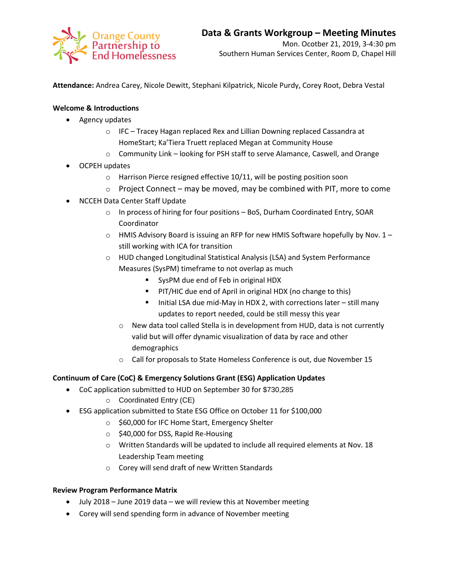

**Attendance:** Andrea Carey, Nicole Dewitt, Stephani Kilpatrick, Nicole Purdy, Corey Root, Debra Vestal

## **Welcome & Introductions**

- Agency updates
	- $\circ$  IFC Tracey Hagan replaced Rex and Lillian Downing replaced Cassandra at HomeStart; Ka'Tiera Truett replaced Megan at Community House
	- o Community Link looking for PSH staff to serve Alamance, Caswell, and Orange
- OCPEH updates
	- o Harrison Pierce resigned effective 10/11, will be posting position soon
	- o Project Connect may be moved, may be combined with PIT, more to come
- NCCEH Data Center Staff Update
	- o In process of hiring for four positions BoS, Durham Coordinated Entry, SOAR Coordinator
	- $\circ$  HMIS Advisory Board is issuing an RFP for new HMIS Software hopefully by Nov. 1 still working with ICA for transition
	- o HUD changed Longitudinal Statistical Analysis (LSA) and System Performance Measures (SysPM) timeframe to not overlap as much
		- SysPM due end of Feb in original HDX
		- **PIT/HIC due end of April in original HDX (no change to this)**
		- Initial LSA due mid-May in HDX 2, with corrections later still many updates to report needed, could be still messy this year
		- o New data tool called Stella is in development from HUD, data is not currently valid but will offer dynamic visualization of data by race and other demographics
		- o Call for proposals to State Homeless Conference is out, due November 15

## **Continuum of Care (CoC) & Emergency Solutions Grant (ESG) Application Updates**

- CoC application submitted to HUD on September 30 for \$730,285
	- o Coordinated Entry (CE)
- ESG application submitted to State ESG Office on October 11 for \$100,000
	- o \$60,000 for IFC Home Start, Emergency Shelter
	- o \$40,000 for DSS, Rapid Re-Housing
	- o Written Standards will be updated to include all required elements at Nov. 18 Leadership Team meeting
	- o Corey will send draft of new Written Standards

## **Review Program Performance Matrix**

- July 2018 June 2019 data we will review this at November meeting
- Corey will send spending form in advance of November meeting